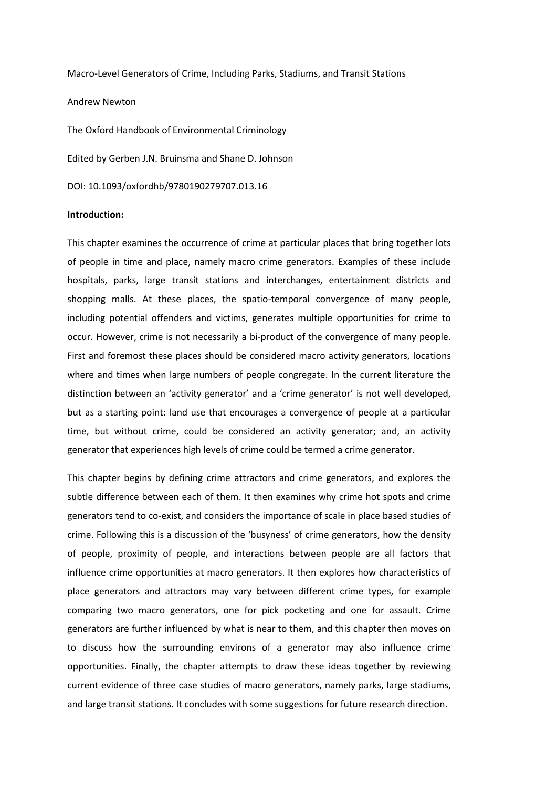Macro-Level Generators of Crime, Including Parks, Stadiums, and Transit Stations

Andrew Newton

The Oxford Handbook of Environmental Criminology Edited by Gerben J.N. Bruinsma and Shane D. Johnson DOI: 10.1093/oxfordhb/9780190279707.013.16

### **Introduction:**

This chapter examines the occurrence of crime at particular places that bring together lots of people in time and place, namely macro crime generators. Examples of these include hospitals, parks, large transit stations and interchanges, entertainment districts and shopping malls. At these places, the spatio-temporal convergence of many people, including potential offenders and victims, generates multiple opportunities for crime to occur. However, crime is not necessarily a bi-product of the convergence of many people. First and foremost these places should be considered macro activity generators, locations where and times when large numbers of people congregate. In the current literature the distinction between an 'activity generator' and a 'crime generator' is not well developed, but as a starting point: land use that encourages a convergence of people at a particular time, but without crime, could be considered an activity generator; and, an activity generator that experiences high levels of crime could be termed a crime generator.

This chapter begins by defining crime attractors and crime generators, and explores the subtle difference between each of them. It then examines why crime hot spots and crime generators tend to co-exist, and considers the importance of scale in place based studies of crime. Following this is a discussion of the 'busyness' of crime generators, how the density of people, proximity of people, and interactions between people are all factors that influence crime opportunities at macro generators. It then explores how characteristics of place generators and attractors may vary between different crime types, for example comparing two macro generators, one for pick pocketing and one for assault. Crime generators are further influenced by what is near to them, and this chapter then moves on to discuss how the surrounding environs of a generator may also influence crime opportunities. Finally, the chapter attempts to draw these ideas together by reviewing current evidence of three case studies of macro generators, namely parks, large stadiums, and large transit stations. It concludes with some suggestions for future research direction.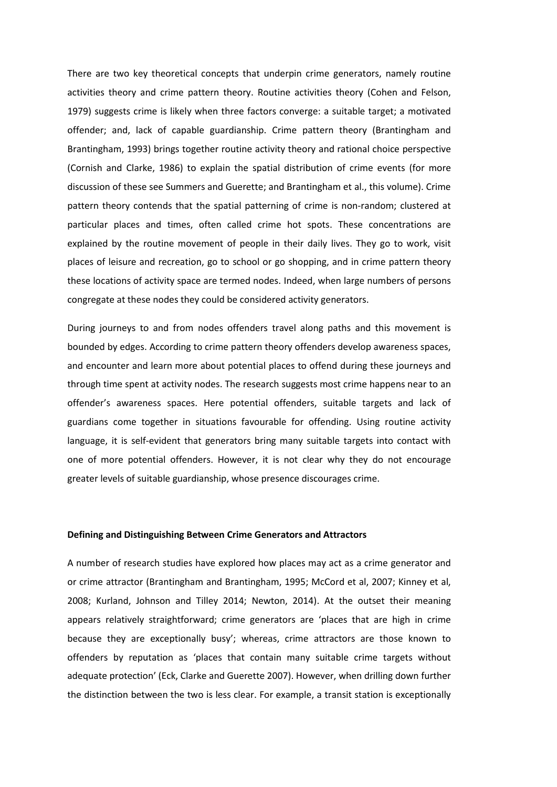There are two key theoretical concepts that underpin crime generators, namely routine activities theory and crime pattern theory. Routine activities theory (Cohen and Felson, 1979) suggests crime is likely when three factors converge: a suitable target; a motivated offender; and, lack of capable guardianship. Crime pattern theory (Brantingham and Brantingham, 1993) brings together routine activity theory and rational choice perspective (Cornish and Clarke, 1986) to explain the spatial distribution of crime events (for more discussion of these see Summers and Guerette; and Brantingham et al., this volume). Crime pattern theory contends that the spatial patterning of crime is non-random; clustered at particular places and times, often called crime hot spots. These concentrations are explained by the routine movement of people in their daily lives. They go to work, visit places of leisure and recreation, go to school or go shopping, and in crime pattern theory these locations of activity space are termed nodes. Indeed, when large numbers of persons congregate at these nodes they could be considered activity generators.

During journeys to and from nodes offenders travel along paths and this movement is bounded by edges. According to crime pattern theory offenders develop awareness spaces, and encounter and learn more about potential places to offend during these journeys and through time spent at activity nodes. The research suggests most crime happens near to an offender's awareness spaces. Here potential offenders, suitable targets and lack of guardians come together in situations favourable for offending. Using routine activity language, it is self-evident that generators bring many suitable targets into contact with one of more potential offenders. However, it is not clear why they do not encourage greater levels of suitable guardianship, whose presence discourages crime.

#### **Defining and Distinguishing Between Crime Generators and Attractors**

A number of research studies have explored how places may act as a crime generator and or crime attractor (Brantingham and Brantingham, 1995; McCord et al, 2007; Kinney et al, 2008; Kurland, Johnson and Tilley 2014; Newton, 2014). At the outset their meaning appears relatively straightforward; crime generators are 'places that are high in crime because they are exceptionally busy'; whereas, crime attractors are those known to offenders by reputation as 'places that contain many suitable crime targets without adequate protection' (Eck, Clarke and Guerette 2007). However, when drilling down further the distinction between the two is less clear. For example, a transit station is exceptionally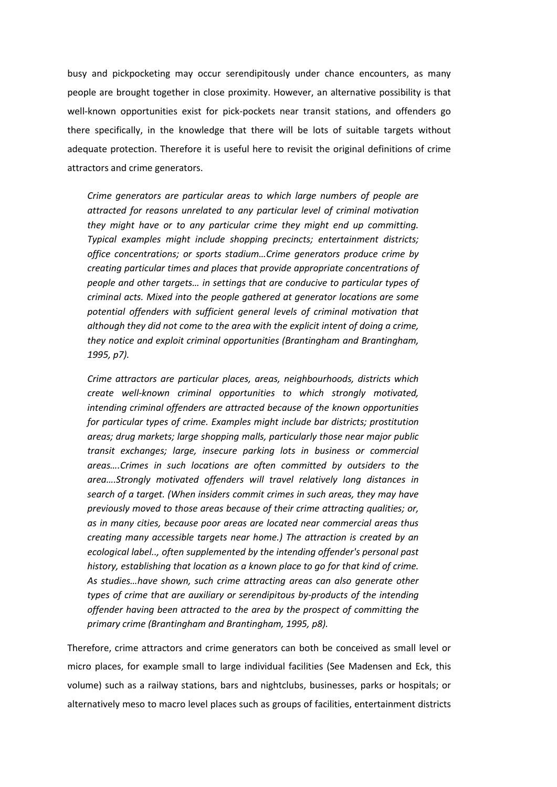busy and pickpocketing may occur serendipitously under chance encounters, as many people are brought together in close proximity. However, an alternative possibility is that well-known opportunities exist for pick-pockets near transit stations, and offenders go there specifically, in the knowledge that there will be lots of suitable targets without adequate protection. Therefore it is useful here to revisit the original definitions of crime attractors and crime generators.

*Crime generators are particular areas to which large numbers of people are attracted for reasons unrelated to any particular level of criminal motivation they might have or to any particular crime they might end up committing. Typical examples might include shopping precincts; entertainment districts; office concentrations; or sports stadium…Crime generators produce crime by creating particular times and places that provide appropriate concentrations of people and other targets… in settings that are conducive to particular types of criminal acts. Mixed into the people gathered at generator locations are some potential offenders with sufficient general levels of criminal motivation that although they did not come to the area with the explicit intent of doing a crime, they notice and exploit criminal opportunities (Brantingham and Brantingham, 1995, p7).*

*Crime attractors are particular places, areas, neighbourhoods, districts which create well-known criminal opportunities to which strongly motivated, intending criminal offenders are attracted because of the known opportunities for particular types of crime. Examples might include bar districts; prostitution areas; drug markets; large shopping malls, particularly those near major public transit exchanges; large, insecure parking lots in business or commercial areas….Crimes in such locations are often committed by outsiders to the area….Strongly motivated offenders will travel relatively long distances in search of a target. (When insiders commit crimes in such areas, they may have previously moved to those areas because of their crime attracting qualities; or, as in many cities, because poor areas are located near commercial areas thus creating many accessible targets near home.) The attraction is created by an ecological label.., often supplemented by the intending offender's personal past history, establishing that location as a known place to go for that kind of crime. As studies…have shown, such crime attracting areas can also generate other types of crime that are auxiliary or serendipitous by-products of the intending offender having been attracted to the area by the prospect of committing the primary crime (Brantingham and Brantingham, 1995, p8).*

Therefore, crime attractors and crime generators can both be conceived as small level or micro places, for example small to large individual facilities (See Madensen and Eck, this volume) such as a railway stations, bars and nightclubs, businesses, parks or hospitals; or alternatively meso to macro level places such as groups of facilities, entertainment districts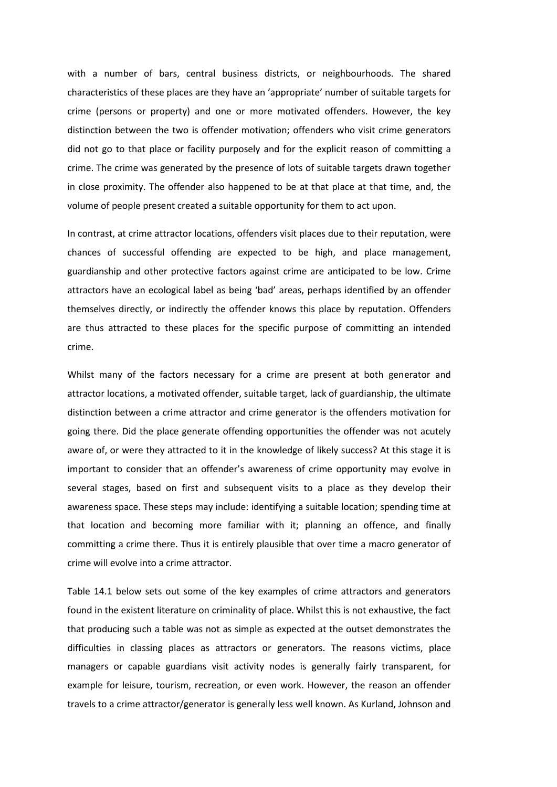with a number of bars, central business districts, or neighbourhoods. The shared characteristics of these places are they have an 'appropriate' number of suitable targets for crime (persons or property) and one or more motivated offenders. However, the key distinction between the two is offender motivation; offenders who visit crime generators did not go to that place or facility purposely and for the explicit reason of committing a crime. The crime was generated by the presence of lots of suitable targets drawn together in close proximity. The offender also happened to be at that place at that time, and, the volume of people present created a suitable opportunity for them to act upon.

In contrast, at crime attractor locations, offenders visit places due to their reputation, were chances of successful offending are expected to be high, and place management, guardianship and other protective factors against crime are anticipated to be low. Crime attractors have an ecological label as being 'bad' areas, perhaps identified by an offender themselves directly, or indirectly the offender knows this place by reputation. Offenders are thus attracted to these places for the specific purpose of committing an intended crime.

Whilst many of the factors necessary for a crime are present at both generator and attractor locations, a motivated offender, suitable target, lack of guardianship, the ultimate distinction between a crime attractor and crime generator is the offenders motivation for going there. Did the place generate offending opportunities the offender was not acutely aware of, or were they attracted to it in the knowledge of likely success? At this stage it is important to consider that an offender's awareness of crime opportunity may evolve in several stages, based on first and subsequent visits to a place as they develop their awareness space. These steps may include: identifying a suitable location; spending time at that location and becoming more familiar with it; planning an offence, and finally committing a crime there. Thus it is entirely plausible that over time a macro generator of crime will evolve into a crime attractor.

Table 14.1 below sets out some of the key examples of crime attractors and generators found in the existent literature on criminality of place. Whilst this is not exhaustive, the fact that producing such a table was not as simple as expected at the outset demonstrates the difficulties in classing places as attractors or generators. The reasons victims, place managers or capable guardians visit activity nodes is generally fairly transparent, for example for leisure, tourism, recreation, or even work. However, the reason an offender travels to a crime attractor/generator is generally less well known. As Kurland, Johnson and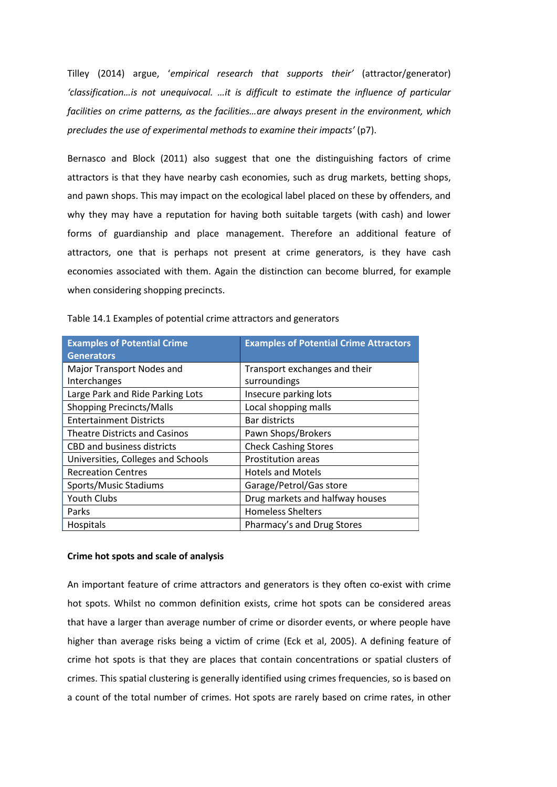Tilley (2014) argue, '*empirical research that supports their'* (attractor/generator) *'classification…is not unequivocal. …it is difficult to estimate the influence of particular facilities on crime patterns, as the facilities…are always present in the environment, which precludes the use of experimental methods to examine their impacts'* (p7).

Bernasco and Block (2011) also suggest that one the distinguishing factors of crime attractors is that they have nearby cash economies, such as drug markets, betting shops, and pawn shops. This may impact on the ecological label placed on these by offenders, and why they may have a reputation for having both suitable targets (with cash) and lower forms of guardianship and place management. Therefore an additional feature of attractors, one that is perhaps not present at crime generators, is they have cash economies associated with them. Again the distinction can become blurred, for example when considering shopping precincts.

| <b>Examples of Potential Crime</b>   | <b>Examples of Potential Crime Attractors</b> |  |
|--------------------------------------|-----------------------------------------------|--|
| <b>Generators</b>                    |                                               |  |
| Major Transport Nodes and            | Transport exchanges and their                 |  |
| Interchanges                         | surroundings                                  |  |
| Large Park and Ride Parking Lots     | Insecure parking lots                         |  |
| <b>Shopping Precincts/Malls</b>      | Local shopping malls                          |  |
| <b>Entertainment Districts</b>       | Bar districts                                 |  |
| <b>Theatre Districts and Casinos</b> | Pawn Shops/Brokers                            |  |
| <b>CBD and business districts</b>    | <b>Check Cashing Stores</b>                   |  |
| Universities, Colleges and Schools   | <b>Prostitution areas</b>                     |  |
| <b>Recreation Centres</b>            | <b>Hotels and Motels</b>                      |  |
| Sports/Music Stadiums                | Garage/Petrol/Gas store                       |  |
| <b>Youth Clubs</b>                   | Drug markets and halfway houses               |  |
| Parks                                | <b>Homeless Shelters</b>                      |  |
| Hospitals                            | Pharmacy's and Drug Stores                    |  |

|  | Table 14.1 Examples of potential crime attractors and generators |
|--|------------------------------------------------------------------|
|--|------------------------------------------------------------------|

#### **Crime hot spots and scale of analysis**

An important feature of crime attractors and generators is they often co-exist with crime hot spots. Whilst no common definition exists, crime hot spots can be considered areas that have a larger than average number of crime or disorder events, or where people have higher than average risks being a victim of crime (Eck et al, 2005). A defining feature of crime hot spots is that they are places that contain concentrations or spatial clusters of crimes. This spatial clustering is generally identified using crimes frequencies, so is based on a count of the total number of crimes. Hot spots are rarely based on crime rates, in other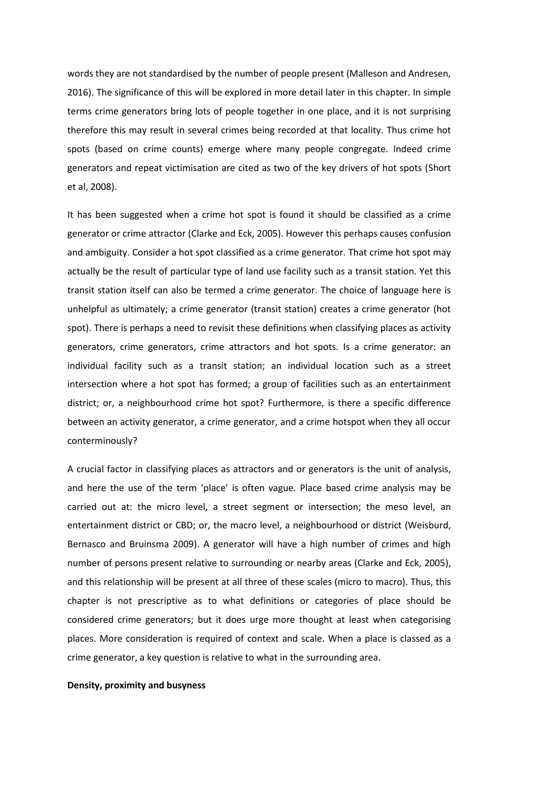words they are not standardised by the number of people present (Malleson and Andresen, 2016). The significance of this will be explored in more detail later in this chapter. In simple terms crime generators bring lots of people together in one place, and it is not surprising therefore this may result in several crimes being recorded at that locality. Thus crime hot spots (based on crime counts) emerge where many people congregate. Indeed crime generators and repeat victimisation are cited as two of the key drivers of hot spots (Short et al, 2008).

It has been suggested when a crime hot spot is found it should be classified as a crime generator or crime attractor (Clarke and Eck, 2005). However this perhaps causes confusion and ambiguity. Consider a hot spot classified as a crime generator. That crime hot spot may actually be the result of particular type of land use facility such as a transit station. Yet this transit station itself can also be termed a crime generator. The choice of language here is unhelpful as ultimately; a crime generator (transit station) creates a crime generator (hot spot). There is perhaps a need to revisit these definitions when classifying places as activity generators, crime generators, crime attractors and hot spots. Is a crime generator: an individual facility such as a transit station; an individual location such as a street intersection where a hot spot has formed; a group of facilities such as an entertainment district; or, a neighbourhood crime hot spot? Furthermore, is there a specific difference between an activity generator, a crime generator, and a crime hotspot when they all occur conterminously?

A crucial factor in classifying places as attractors and or generators is the unit of analysis, and here the use of the term 'place' is often vague. Place based crime analysis may be carried out at: the micro level, a street segment or intersection; the meso level, an entertainment district or CBD; or, the macro level, a neighbourhood or district (Weisburd, Bernasco and Bruinsma 2009). A generator will have a high number of crimes and high number of persons present relative to surrounding or nearby areas (Clarke and Eck, 2005), and this relationship will be present at all three of these scales (micro to macro). Thus, this chapter is not prescriptive as to what definitions or categories of place should be considered crime generators; but it does urge more thought at least when categorising places. More consideration is required of context and scale. When a place is classed as a crime generator, a key question is relative to what in the surrounding area.

### **Density, proximity and busyness**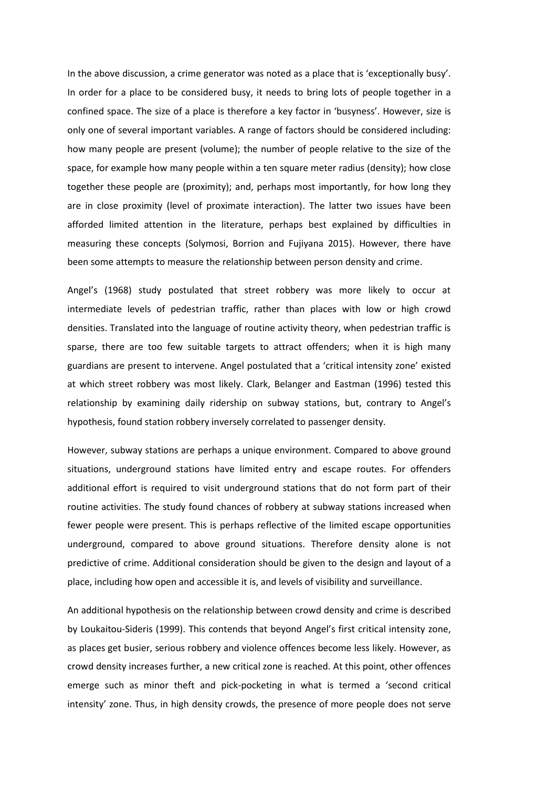In the above discussion, a crime generator was noted as a place that is 'exceptionally busy'. In order for a place to be considered busy, it needs to bring lots of people together in a confined space. The size of a place is therefore a key factor in 'busyness'. However, size is only one of several important variables. A range of factors should be considered including: how many people are present (volume); the number of people relative to the size of the space, for example how many people within a ten square meter radius (density); how close together these people are (proximity); and, perhaps most importantly, for how long they are in close proximity (level of proximate interaction). The latter two issues have been afforded limited attention in the literature, perhaps best explained by difficulties in measuring these concepts (Solymosi, Borrion and Fujiyana 2015). However, there have been some attempts to measure the relationship between person density and crime.

Angel's (1968) study postulated that street robbery was more likely to occur at intermediate levels of pedestrian traffic, rather than places with low or high crowd densities. Translated into the language of routine activity theory, when pedestrian traffic is sparse, there are too few suitable targets to attract offenders; when it is high many guardians are present to intervene. Angel postulated that a 'critical intensity zone' existed at which street robbery was most likely. Clark, Belanger and Eastman (1996) tested this relationship by examining daily ridership on subway stations, but, contrary to Angel's hypothesis, found station robbery inversely correlated to passenger density.

However, subway stations are perhaps a unique environment. Compared to above ground situations, underground stations have limited entry and escape routes. For offenders additional effort is required to visit underground stations that do not form part of their routine activities. The study found chances of robbery at subway stations increased when fewer people were present. This is perhaps reflective of the limited escape opportunities underground, compared to above ground situations. Therefore density alone is not predictive of crime. Additional consideration should be given to the design and layout of a place, including how open and accessible it is, and levels of visibility and surveillance.

An additional hypothesis on the relationship between crowd density and crime is described by Loukaitou-Sideris (1999). This contends that beyond Angel's first critical intensity zone, as places get busier, serious robbery and violence offences become less likely. However, as crowd density increases further, a new critical zone is reached. At this point, other offences emerge such as minor theft and pick-pocketing in what is termed a 'second critical intensity' zone. Thus, in high density crowds, the presence of more people does not serve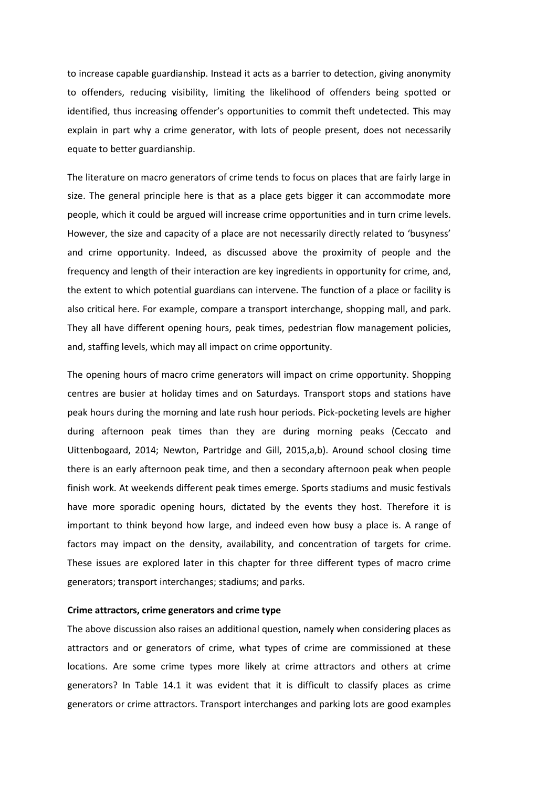to increase capable guardianship. Instead it acts as a barrier to detection, giving anonymity to offenders, reducing visibility, limiting the likelihood of offenders being spotted or identified, thus increasing offender's opportunities to commit theft undetected. This may explain in part why a crime generator, with lots of people present, does not necessarily equate to better guardianship.

The literature on macro generators of crime tends to focus on places that are fairly large in size. The general principle here is that as a place gets bigger it can accommodate more people, which it could be argued will increase crime opportunities and in turn crime levels. However, the size and capacity of a place are not necessarily directly related to 'busyness' and crime opportunity. Indeed, as discussed above the proximity of people and the frequency and length of their interaction are key ingredients in opportunity for crime, and, the extent to which potential guardians can intervene. The function of a place or facility is also critical here. For example, compare a transport interchange, shopping mall, and park. They all have different opening hours, peak times, pedestrian flow management policies, and, staffing levels, which may all impact on crime opportunity.

The opening hours of macro crime generators will impact on crime opportunity. Shopping centres are busier at holiday times and on Saturdays. Transport stops and stations have peak hours during the morning and late rush hour periods. Pick-pocketing levels are higher during afternoon peak times than they are during morning peaks (Ceccato and Uittenbogaard, 2014; Newton, Partridge and Gill, 2015,a,b). Around school closing time there is an early afternoon peak time, and then a secondary afternoon peak when people finish work. At weekends different peak times emerge. Sports stadiums and music festivals have more sporadic opening hours, dictated by the events they host. Therefore it is important to think beyond how large, and indeed even how busy a place is. A range of factors may impact on the density, availability, and concentration of targets for crime. These issues are explored later in this chapter for three different types of macro crime generators; transport interchanges; stadiums; and parks.

# **Crime attractors, crime generators and crime type**

The above discussion also raises an additional question, namely when considering places as attractors and or generators of crime, what types of crime are commissioned at these locations. Are some crime types more likely at crime attractors and others at crime generators? In Table 14.1 it was evident that it is difficult to classify places as crime generators or crime attractors. Transport interchanges and parking lots are good examples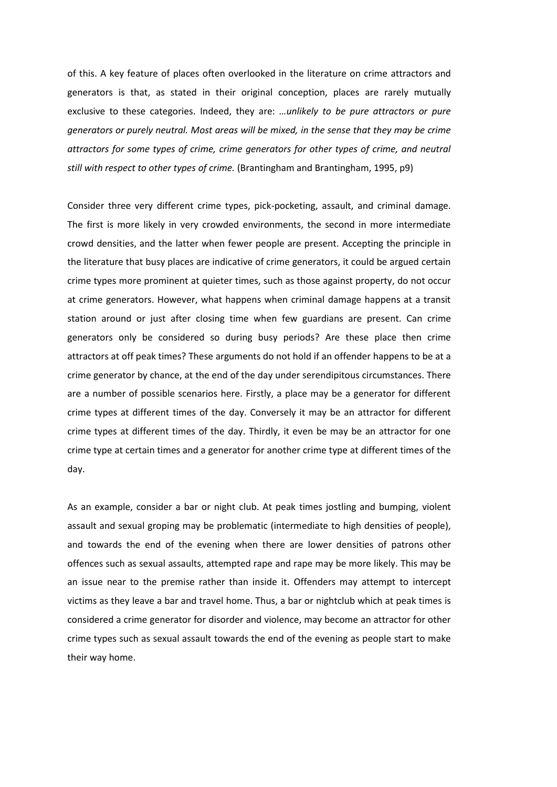of this. A key feature of places often overlooked in the literature on crime attractors and generators is that, as stated in their original conception, places are rarely mutually exclusive to these categories. Indeed, they are: *…unlikely to be pure attractors or pure generators or purely neutral. Most areas will be mixed, in the sense that they may be crime attractors for some types of crime, crime generators for other types of crime, and neutral still with respect to other types of crime.* (Brantingham and Brantingham, 1995, p9)

Consider three very different crime types, pick-pocketing, assault, and criminal damage. The first is more likely in very crowded environments, the second in more intermediate crowd densities, and the latter when fewer people are present. Accepting the principle in the literature that busy places are indicative of crime generators, it could be argued certain crime types more prominent at quieter times, such as those against property, do not occur at crime generators. However, what happens when criminal damage happens at a transit station around or just after closing time when few guardians are present. Can crime generators only be considered so during busy periods? Are these place then crime attractors at off peak times? These arguments do not hold if an offender happens to be at a crime generator by chance, at the end of the day under serendipitous circumstances. There are a number of possible scenarios here. Firstly, a place may be a generator for different crime types at different times of the day. Conversely it may be an attractor for different crime types at different times of the day. Thirdly, it even be may be an attractor for one crime type at certain times and a generator for another crime type at different times of the day.

As an example, consider a bar or night club. At peak times jostling and bumping, violent assault and sexual groping may be problematic (intermediate to high densities of people), and towards the end of the evening when there are lower densities of patrons other offences such as sexual assaults, attempted rape and rape may be more likely. This may be an issue near to the premise rather than inside it. Offenders may attempt to intercept victims as they leave a bar and travel home. Thus, a bar or nightclub which at peak times is considered a crime generator for disorder and violence, may become an attractor for other crime types such as sexual assault towards the end of the evening as people start to make their way home.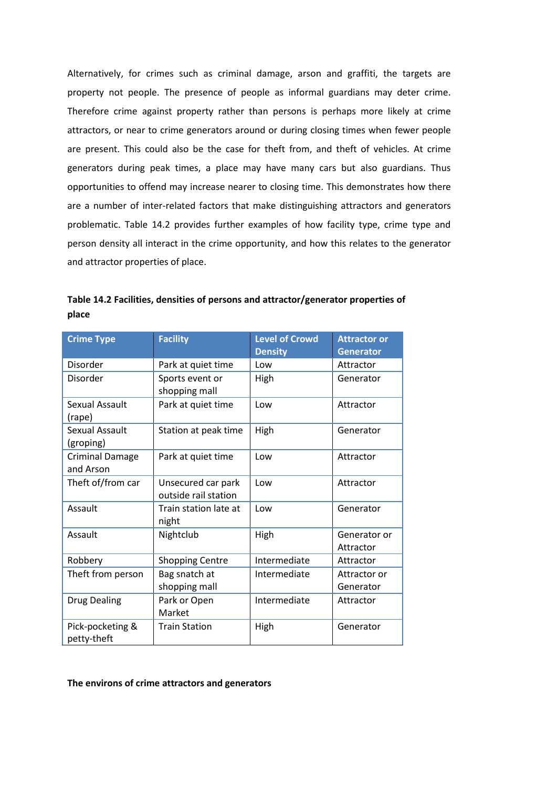Alternatively, for crimes such as criminal damage, arson and graffiti, the targets are property not people. The presence of people as informal guardians may deter crime. Therefore crime against property rather than persons is perhaps more likely at crime attractors, or near to crime generators around or during closing times when fewer people are present. This could also be the case for theft from, and theft of vehicles. At crime generators during peak times, a place may have many cars but also guardians. Thus opportunities to offend may increase nearer to closing time. This demonstrates how there are a number of inter-related factors that make distinguishing attractors and generators problematic. Table 14.2 provides further examples of how facility type, crime type and person density all interact in the crime opportunity, and how this relates to the generator and attractor properties of place.

**Table 14.2 Facilities, densities of persons and attractor/generator properties of place**

| <b>Crime Type</b>                   | <b>Facility</b>                            | <b>Level of Crowd</b><br><b>Density</b> | <b>Attractor or</b><br><b>Generator</b> |
|-------------------------------------|--------------------------------------------|-----------------------------------------|-----------------------------------------|
| Disorder                            | Park at quiet time                         | Low                                     | Attractor                               |
| Disorder                            | Sports event or<br>shopping mall           | High                                    | Generator                               |
| Sexual Assault<br>(rape)            | Park at quiet time                         | Low                                     | Attractor                               |
| Sexual Assault<br>(groping)         | Station at peak time                       | High                                    | Generator                               |
| <b>Criminal Damage</b><br>and Arson | Park at quiet time                         | Low                                     | Attractor                               |
| Theft of/from car                   | Unsecured car park<br>outside rail station | Low                                     | Attractor                               |
| Assault                             | Train station late at<br>night             | Low                                     | Generator                               |
| Assault                             | Nightclub                                  | High                                    | Generator or<br>Attractor               |
| Robbery                             | <b>Shopping Centre</b>                     | Intermediate                            | Attractor                               |
| Theft from person                   | Bag snatch at<br>shopping mall             | Intermediate                            | Attractor or<br>Generator               |
| <b>Drug Dealing</b>                 | Park or Open<br>Market                     | Intermediate                            | Attractor                               |
| Pick-pocketing &<br>petty-theft     | <b>Train Station</b>                       | High                                    | Generator                               |

# **The environs of crime attractors and generators**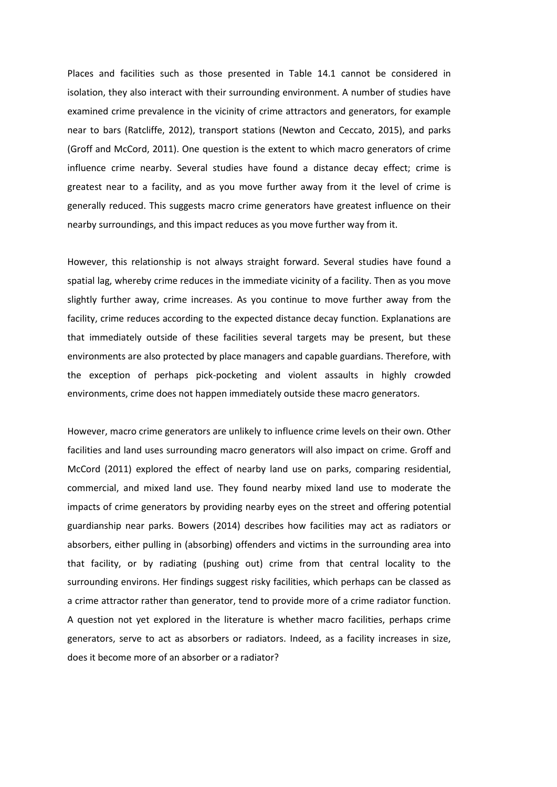Places and facilities such as those presented in Table 14.1 cannot be considered in isolation, they also interact with their surrounding environment. A number of studies have examined crime prevalence in the vicinity of crime attractors and generators, for example near to bars (Ratcliffe, 2012), transport stations (Newton and Ceccato, 2015), and parks (Groff and McCord, 2011). One question is the extent to which macro generators of crime influence crime nearby. Several studies have found a distance decay effect; crime is greatest near to a facility, and as you move further away from it the level of crime is generally reduced. This suggests macro crime generators have greatest influence on their nearby surroundings, and this impact reduces as you move further way from it.

However, this relationship is not always straight forward. Several studies have found a spatial lag, whereby crime reduces in the immediate vicinity of a facility. Then as you move slightly further away, crime increases. As you continue to move further away from the facility, crime reduces according to the expected distance decay function. Explanations are that immediately outside of these facilities several targets may be present, but these environments are also protected by place managers and capable guardians. Therefore, with the exception of perhaps pick-pocketing and violent assaults in highly crowded environments, crime does not happen immediately outside these macro generators.

However, macro crime generators are unlikely to influence crime levels on their own. Other facilities and land uses surrounding macro generators will also impact on crime. Groff and McCord (2011) explored the effect of nearby land use on parks, comparing residential, commercial, and mixed land use. They found nearby mixed land use to moderate the impacts of crime generators by providing nearby eyes on the street and offering potential guardianship near parks. Bowers (2014) describes how facilities may act as radiators or absorbers, either pulling in (absorbing) offenders and victims in the surrounding area into that facility, or by radiating (pushing out) crime from that central locality to the surrounding environs. Her findings suggest risky facilities, which perhaps can be classed as a crime attractor rather than generator, tend to provide more of a crime radiator function. A question not yet explored in the literature is whether macro facilities, perhaps crime generators, serve to act as absorbers or radiators. Indeed, as a facility increases in size, does it become more of an absorber or a radiator?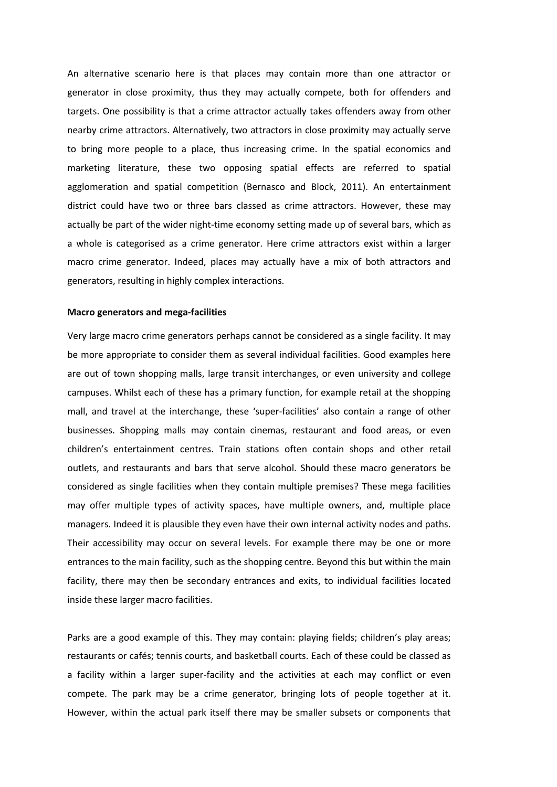An alternative scenario here is that places may contain more than one attractor or generator in close proximity, thus they may actually compete, both for offenders and targets. One possibility is that a crime attractor actually takes offenders away from other nearby crime attractors. Alternatively, two attractors in close proximity may actually serve to bring more people to a place, thus increasing crime. In the spatial economics and marketing literature, these two opposing spatial effects are referred to spatial agglomeration and spatial competition (Bernasco and Block, 2011). An entertainment district could have two or three bars classed as crime attractors. However, these may actually be part of the wider night-time economy setting made up of several bars, which as a whole is categorised as a crime generator. Here crime attractors exist within a larger macro crime generator. Indeed, places may actually have a mix of both attractors and generators, resulting in highly complex interactions.

# **Macro generators and mega-facilities**

Very large macro crime generators perhaps cannot be considered as a single facility. It may be more appropriate to consider them as several individual facilities. Good examples here are out of town shopping malls, large transit interchanges, or even university and college campuses. Whilst each of these has a primary function, for example retail at the shopping mall, and travel at the interchange, these 'super-facilities' also contain a range of other businesses. Shopping malls may contain cinemas, restaurant and food areas, or even children's entertainment centres. Train stations often contain shops and other retail outlets, and restaurants and bars that serve alcohol. Should these macro generators be considered as single facilities when they contain multiple premises? These mega facilities may offer multiple types of activity spaces, have multiple owners, and, multiple place managers. Indeed it is plausible they even have their own internal activity nodes and paths. Their accessibility may occur on several levels. For example there may be one or more entrances to the main facility, such as the shopping centre. Beyond this but within the main facility, there may then be secondary entrances and exits, to individual facilities located inside these larger macro facilities.

Parks are a good example of this. They may contain: playing fields; children's play areas; restaurants or cafés; tennis courts, and basketball courts. Each of these could be classed as a facility within a larger super-facility and the activities at each may conflict or even compete. The park may be a crime generator, bringing lots of people together at it. However, within the actual park itself there may be smaller subsets or components that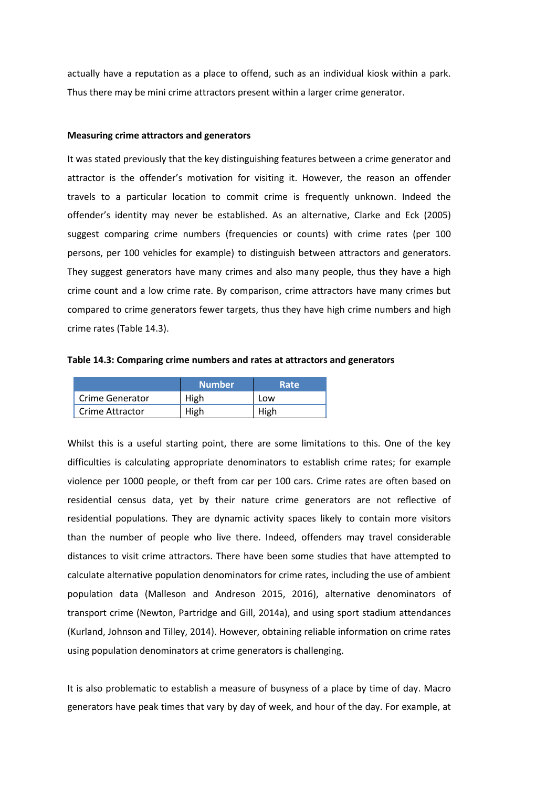actually have a reputation as a place to offend, such as an individual kiosk within a park. Thus there may be mini crime attractors present within a larger crime generator.

### **Measuring crime attractors and generators**

It was stated previously that the key distinguishing features between a crime generator and attractor is the offender's motivation for visiting it. However, the reason an offender travels to a particular location to commit crime is frequently unknown. Indeed the offender's identity may never be established. As an alternative, Clarke and Eck (2005) suggest comparing crime numbers (frequencies or counts) with crime rates (per 100 persons, per 100 vehicles for example) to distinguish between attractors and generators. They suggest generators have many crimes and also many people, thus they have a high crime count and a low crime rate. By comparison, crime attractors have many crimes but compared to crime generators fewer targets, thus they have high crime numbers and high crime rates (Table 14.3).

**Table 14.3: Comparing crime numbers and rates at attractors and generators**

|                 | <b>Number</b> | Rate |
|-----------------|---------------|------|
| Crime Generator | High          | Low  |
| Crime Attractor | High          | High |

Whilst this is a useful starting point, there are some limitations to this. One of the key difficulties is calculating appropriate denominators to establish crime rates; for example violence per 1000 people, or theft from car per 100 cars. Crime rates are often based on residential census data, yet by their nature crime generators are not reflective of residential populations. They are dynamic activity spaces likely to contain more visitors than the number of people who live there. Indeed, offenders may travel considerable distances to visit crime attractors. There have been some studies that have attempted to calculate alternative population denominators for crime rates, including the use of ambient population data (Malleson and Andreson 2015, 2016), alternative denominators of transport crime (Newton, Partridge and Gill, 2014a), and using sport stadium attendances (Kurland, Johnson and Tilley, 2014). However, obtaining reliable information on crime rates using population denominators at crime generators is challenging.

It is also problematic to establish a measure of busyness of a place by time of day. Macro generators have peak times that vary by day of week, and hour of the day. For example, at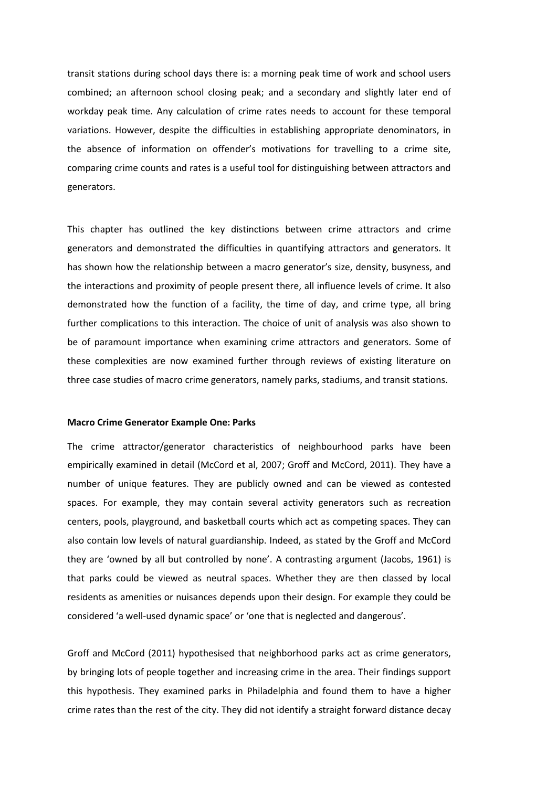transit stations during school days there is: a morning peak time of work and school users combined; an afternoon school closing peak; and a secondary and slightly later end of workday peak time. Any calculation of crime rates needs to account for these temporal variations. However, despite the difficulties in establishing appropriate denominators, in the absence of information on offender's motivations for travelling to a crime site, comparing crime counts and rates is a useful tool for distinguishing between attractors and generators.

This chapter has outlined the key distinctions between crime attractors and crime generators and demonstrated the difficulties in quantifying attractors and generators. It has shown how the relationship between a macro generator's size, density, busyness, and the interactions and proximity of people present there, all influence levels of crime. It also demonstrated how the function of a facility, the time of day, and crime type, all bring further complications to this interaction. The choice of unit of analysis was also shown to be of paramount importance when examining crime attractors and generators. Some of these complexities are now examined further through reviews of existing literature on three case studies of macro crime generators, namely parks, stadiums, and transit stations.

## **Macro Crime Generator Example One: Parks**

The crime attractor/generator characteristics of neighbourhood parks have been empirically examined in detail (McCord et al, 2007; Groff and McCord, 2011). They have a number of unique features. They are publicly owned and can be viewed as contested spaces. For example, they may contain several activity generators such as recreation centers, pools, playground, and basketball courts which act as competing spaces. They can also contain low levels of natural guardianship. Indeed, as stated by the Groff and McCord they are 'owned by all but controlled by none'. A contrasting argument (Jacobs, 1961) is that parks could be viewed as neutral spaces. Whether they are then classed by local residents as amenities or nuisances depends upon their design. For example they could be considered 'a well-used dynamic space' or 'one that is neglected and dangerous'.

Groff and McCord (2011) hypothesised that neighborhood parks act as crime generators, by bringing lots of people together and increasing crime in the area. Their findings support this hypothesis. They examined parks in Philadelphia and found them to have a higher crime rates than the rest of the city. They did not identify a straight forward distance decay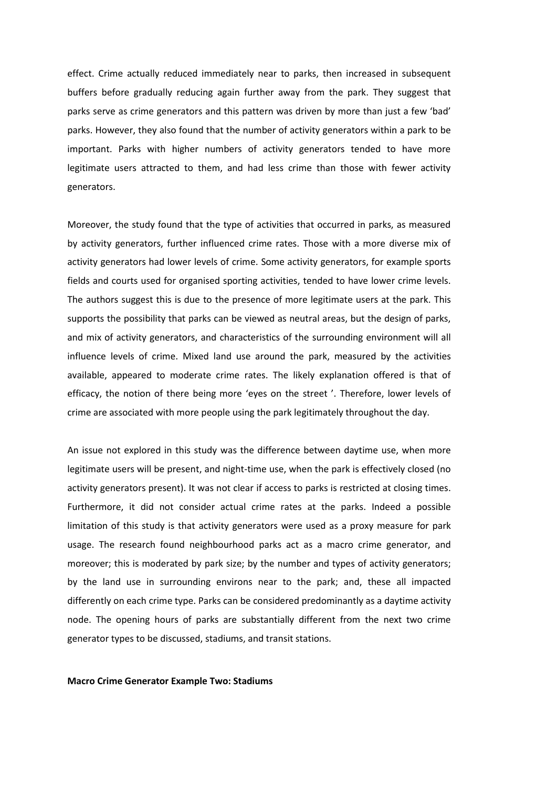effect. Crime actually reduced immediately near to parks, then increased in subsequent buffers before gradually reducing again further away from the park. They suggest that parks serve as crime generators and this pattern was driven by more than just a few 'bad' parks. However, they also found that the number of activity generators within a park to be important. Parks with higher numbers of activity generators tended to have more legitimate users attracted to them, and had less crime than those with fewer activity generators.

Moreover, the study found that the type of activities that occurred in parks, as measured by activity generators, further influenced crime rates. Those with a more diverse mix of activity generators had lower levels of crime. Some activity generators, for example sports fields and courts used for organised sporting activities, tended to have lower crime levels. The authors suggest this is due to the presence of more legitimate users at the park. This supports the possibility that parks can be viewed as neutral areas, but the design of parks, and mix of activity generators, and characteristics of the surrounding environment will all influence levels of crime. Mixed land use around the park, measured by the activities available, appeared to moderate crime rates. The likely explanation offered is that of efficacy, the notion of there being more 'eyes on the street '. Therefore, lower levels of crime are associated with more people using the park legitimately throughout the day.

An issue not explored in this study was the difference between daytime use, when more legitimate users will be present, and night-time use, when the park is effectively closed (no activity generators present). It was not clear if access to parks is restricted at closing times. Furthermore, it did not consider actual crime rates at the parks. Indeed a possible limitation of this study is that activity generators were used as a proxy measure for park usage. The research found neighbourhood parks act as a macro crime generator, and moreover; this is moderated by park size; by the number and types of activity generators; by the land use in surrounding environs near to the park; and, these all impacted differently on each crime type. Parks can be considered predominantly as a daytime activity node. The opening hours of parks are substantially different from the next two crime generator types to be discussed, stadiums, and transit stations.

#### **Macro Crime Generator Example Two: Stadiums**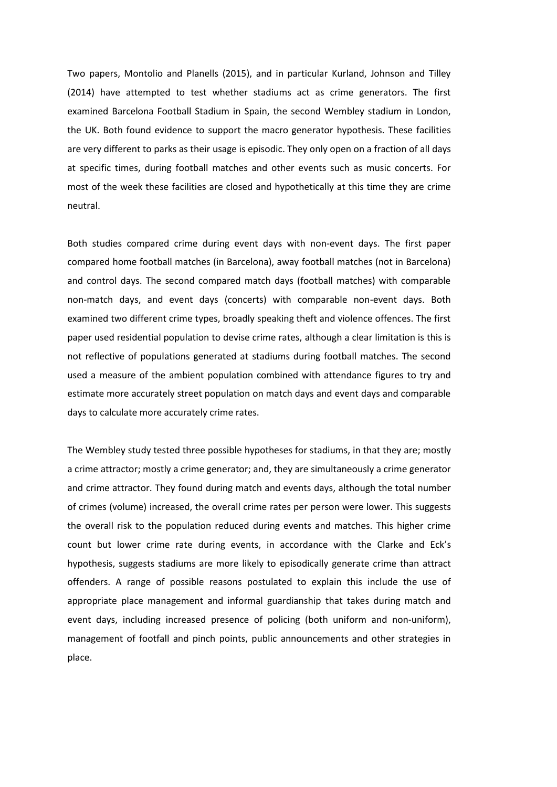Two papers, Montolio and Planells (2015), and in particular Kurland, Johnson and Tilley (2014) have attempted to test whether stadiums act as crime generators. The first examined Barcelona Football Stadium in Spain, the second Wembley stadium in London, the UK. Both found evidence to support the macro generator hypothesis. These facilities are very different to parks as their usage is episodic. They only open on a fraction of all days at specific times, during football matches and other events such as music concerts. For most of the week these facilities are closed and hypothetically at this time they are crime neutral.

Both studies compared crime during event days with non-event days. The first paper compared home football matches (in Barcelona), away football matches (not in Barcelona) and control days. The second compared match days (football matches) with comparable non-match days, and event days (concerts) with comparable non-event days. Both examined two different crime types, broadly speaking theft and violence offences. The first paper used residential population to devise crime rates, although a clear limitation is this is not reflective of populations generated at stadiums during football matches. The second used a measure of the ambient population combined with attendance figures to try and estimate more accurately street population on match days and event days and comparable days to calculate more accurately crime rates.

The Wembley study tested three possible hypotheses for stadiums, in that they are; mostly a crime attractor; mostly a crime generator; and, they are simultaneously a crime generator and crime attractor. They found during match and events days, although the total number of crimes (volume) increased, the overall crime rates per person were lower. This suggests the overall risk to the population reduced during events and matches. This higher crime count but lower crime rate during events, in accordance with the Clarke and Eck's hypothesis, suggests stadiums are more likely to episodically generate crime than attract offenders. A range of possible reasons postulated to explain this include the use of appropriate place management and informal guardianship that takes during match and event days, including increased presence of policing (both uniform and non-uniform), management of footfall and pinch points, public announcements and other strategies in place.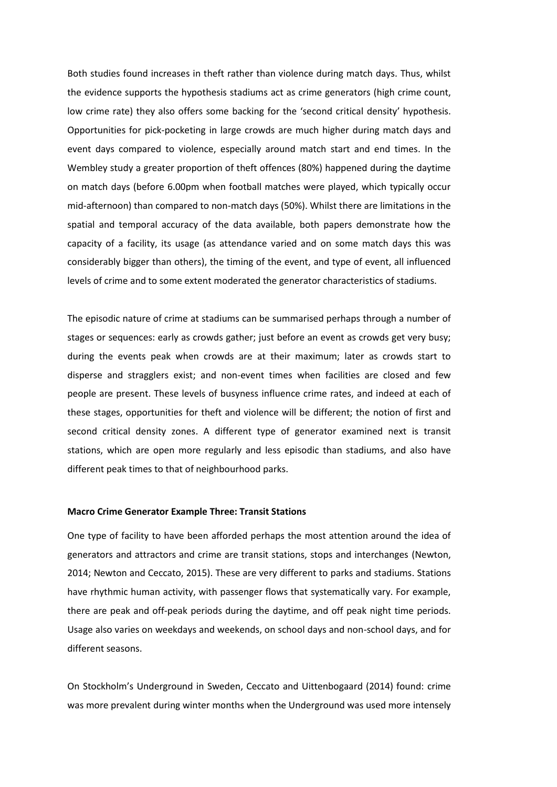Both studies found increases in theft rather than violence during match days. Thus, whilst the evidence supports the hypothesis stadiums act as crime generators (high crime count, low crime rate) they also offers some backing for the 'second critical density' hypothesis. Opportunities for pick-pocketing in large crowds are much higher during match days and event days compared to violence, especially around match start and end times. In the Wembley study a greater proportion of theft offences (80%) happened during the daytime on match days (before 6.00pm when football matches were played, which typically occur mid-afternoon) than compared to non-match days (50%). Whilst there are limitations in the spatial and temporal accuracy of the data available, both papers demonstrate how the capacity of a facility, its usage (as attendance varied and on some match days this was considerably bigger than others), the timing of the event, and type of event, all influenced levels of crime and to some extent moderated the generator characteristics of stadiums.

The episodic nature of crime at stadiums can be summarised perhaps through a number of stages or sequences: early as crowds gather; just before an event as crowds get very busy; during the events peak when crowds are at their maximum; later as crowds start to disperse and stragglers exist; and non-event times when facilities are closed and few people are present. These levels of busyness influence crime rates, and indeed at each of these stages, opportunities for theft and violence will be different; the notion of first and second critical density zones. A different type of generator examined next is transit stations, which are open more regularly and less episodic than stadiums, and also have different peak times to that of neighbourhood parks.

# **Macro Crime Generator Example Three: Transit Stations**

One type of facility to have been afforded perhaps the most attention around the idea of generators and attractors and crime are transit stations, stops and interchanges (Newton, 2014; Newton and Ceccato, 2015). These are very different to parks and stadiums. Stations have rhythmic human activity, with passenger flows that systematically vary. For example, there are peak and off-peak periods during the daytime, and off peak night time periods. Usage also varies on weekdays and weekends, on school days and non-school days, and for different seasons.

On Stockholm's Underground in Sweden, Ceccato and Uittenbogaard (2014) found: crime was more prevalent during winter months when the Underground was used more intensely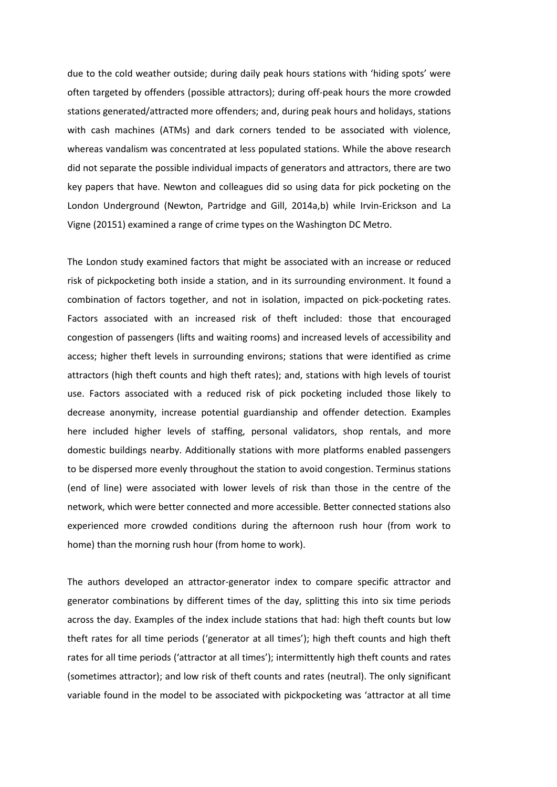due to the cold weather outside; during daily peak hours stations with 'hiding spots' were often targeted by offenders (possible attractors); during off-peak hours the more crowded stations generated/attracted more offenders; and, during peak hours and holidays, stations with cash machines (ATMs) and dark corners tended to be associated with violence, whereas vandalism was concentrated at less populated stations. While the above research did not separate the possible individual impacts of generators and attractors, there are two key papers that have. Newton and colleagues did so using data for pick pocketing on the London Underground (Newton, Partridge and Gill, 2014a,b) while Irvin-Erickson and La Vigne (20151) examined a range of crime types on the Washington DC Metro.

The London study examined factors that might be associated with an increase or reduced risk of pickpocketing both inside a station, and in its surrounding environment. It found a combination of factors together, and not in isolation, impacted on pick-pocketing rates. Factors associated with an increased risk of theft included: those that encouraged congestion of passengers (lifts and waiting rooms) and increased levels of accessibility and access; higher theft levels in surrounding environs; stations that were identified as crime attractors (high theft counts and high theft rates); and, stations with high levels of tourist use. Factors associated with a reduced risk of pick pocketing included those likely to decrease anonymity, increase potential guardianship and offender detection. Examples here included higher levels of staffing, personal validators, shop rentals, and more domestic buildings nearby. Additionally stations with more platforms enabled passengers to be dispersed more evenly throughout the station to avoid congestion. Terminus stations (end of line) were associated with lower levels of risk than those in the centre of the network, which were better connected and more accessible. Better connected stations also experienced more crowded conditions during the afternoon rush hour (from work to home) than the morning rush hour (from home to work).

The authors developed an attractor-generator index to compare specific attractor and generator combinations by different times of the day, splitting this into six time periods across the day. Examples of the index include stations that had: high theft counts but low theft rates for all time periods ('generator at all times'); high theft counts and high theft rates for all time periods ('attractor at all times'); intermittently high theft counts and rates (sometimes attractor); and low risk of theft counts and rates (neutral). The only significant variable found in the model to be associated with pickpocketing was 'attractor at all time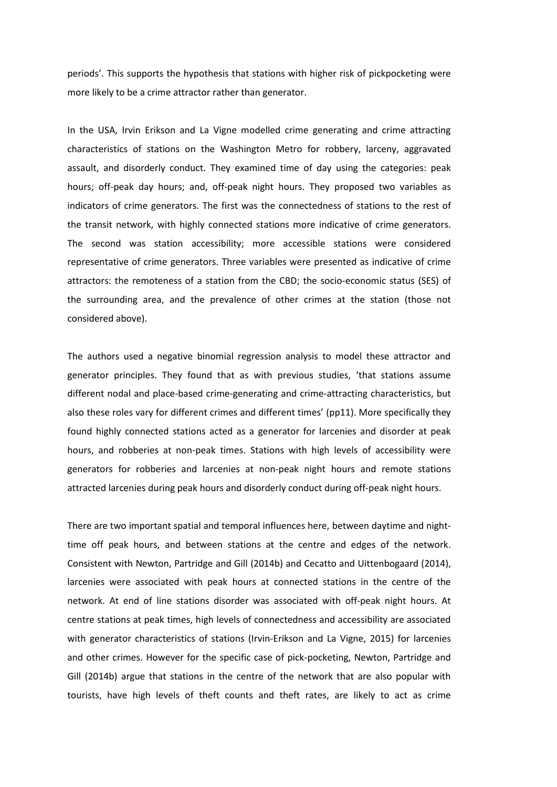periods'. This supports the hypothesis that stations with higher risk of pickpocketing were more likely to be a crime attractor rather than generator.

In the USA, Irvin Erikson and La Vigne modelled crime generating and crime attracting characteristics of stations on the Washington Metro for robbery, larceny, aggravated assault, and disorderly conduct. They examined time of day using the categories: peak hours; off-peak day hours; and, off-peak night hours. They proposed two variables as indicators of crime generators. The first was the connectedness of stations to the rest of the transit network, with highly connected stations more indicative of crime generators. The second was station accessibility; more accessible stations were considered representative of crime generators. Three variables were presented as indicative of crime attractors: the remoteness of a station from the CBD; the socio-economic status (SES) of the surrounding area, and the prevalence of other crimes at the station (those not considered above).

The authors used a negative binomial regression analysis to model these attractor and generator principles. They found that as with previous studies, 'that stations assume different nodal and place-based crime-generating and crime-attracting characteristics, but also these roles vary for different crimes and different times' (pp11). More specifically they found highly connected stations acted as a generator for larcenies and disorder at peak hours, and robberies at non-peak times. Stations with high levels of accessibility were generators for robberies and larcenies at non-peak night hours and remote stations attracted larcenies during peak hours and disorderly conduct during off-peak night hours.

There are two important spatial and temporal influences here, between daytime and nighttime off peak hours, and between stations at the centre and edges of the network. Consistent with Newton, Partridge and Gill (2014b) and Cecatto and Uittenbogaard (2014), larcenies were associated with peak hours at connected stations in the centre of the network. At end of line stations disorder was associated with off-peak night hours. At centre stations at peak times, high levels of connectedness and accessibility are associated with generator characteristics of stations (Irvin-Erikson and La Vigne, 2015) for larcenies and other crimes. However for the specific case of pick-pocketing, Newton, Partridge and Gill (2014b) argue that stations in the centre of the network that are also popular with tourists, have high levels of theft counts and theft rates, are likely to act as crime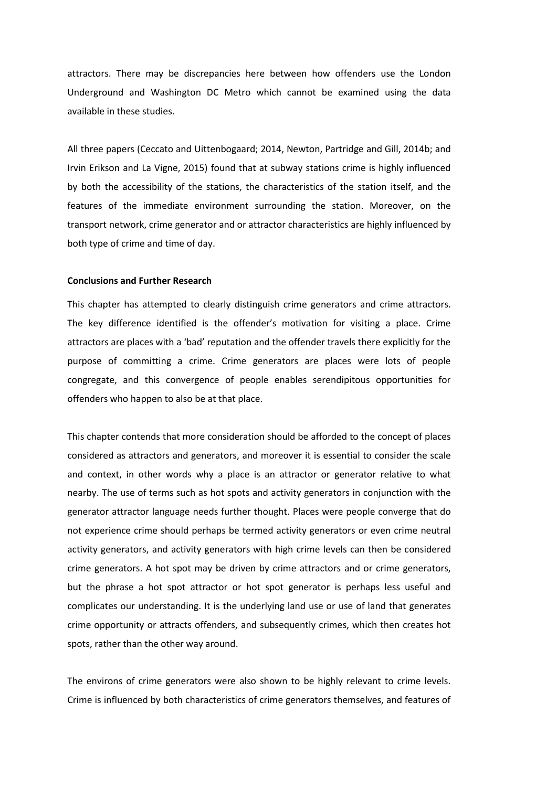attractors. There may be discrepancies here between how offenders use the London Underground and Washington DC Metro which cannot be examined using the data available in these studies.

All three papers (Ceccato and Uittenbogaard; 2014, Newton, Partridge and Gill, 2014b; and Irvin Erikson and La Vigne, 2015) found that at subway stations crime is highly influenced by both the accessibility of the stations, the characteristics of the station itself, and the features of the immediate environment surrounding the station. Moreover, on the transport network, crime generator and or attractor characteristics are highly influenced by both type of crime and time of day.

# **Conclusions and Further Research**

This chapter has attempted to clearly distinguish crime generators and crime attractors. The key difference identified is the offender's motivation for visiting a place. Crime attractors are places with a 'bad' reputation and the offender travels there explicitly for the purpose of committing a crime. Crime generators are places were lots of people congregate, and this convergence of people enables serendipitous opportunities for offenders who happen to also be at that place.

This chapter contends that more consideration should be afforded to the concept of places considered as attractors and generators, and moreover it is essential to consider the scale and context, in other words why a place is an attractor or generator relative to what nearby. The use of terms such as hot spots and activity generators in conjunction with the generator attractor language needs further thought. Places were people converge that do not experience crime should perhaps be termed activity generators or even crime neutral activity generators, and activity generators with high crime levels can then be considered crime generators. A hot spot may be driven by crime attractors and or crime generators, but the phrase a hot spot attractor or hot spot generator is perhaps less useful and complicates our understanding. It is the underlying land use or use of land that generates crime opportunity or attracts offenders, and subsequently crimes, which then creates hot spots, rather than the other way around.

The environs of crime generators were also shown to be highly relevant to crime levels. Crime is influenced by both characteristics of crime generators themselves, and features of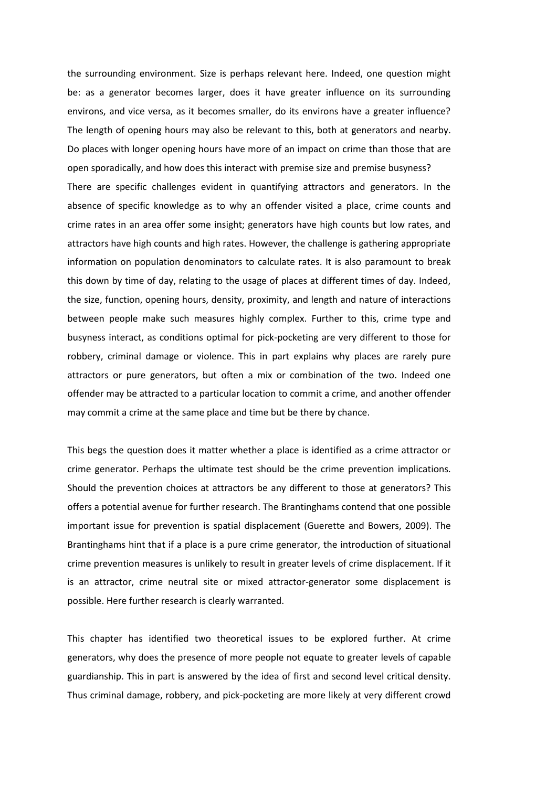the surrounding environment. Size is perhaps relevant here. Indeed, one question might be: as a generator becomes larger, does it have greater influence on its surrounding environs, and vice versa, as it becomes smaller, do its environs have a greater influence? The length of opening hours may also be relevant to this, both at generators and nearby. Do places with longer opening hours have more of an impact on crime than those that are open sporadically, and how does this interact with premise size and premise busyness? There are specific challenges evident in quantifying attractors and generators. In the absence of specific knowledge as to why an offender visited a place, crime counts and crime rates in an area offer some insight; generators have high counts but low rates, and attractors have high counts and high rates. However, the challenge is gathering appropriate information on population denominators to calculate rates. It is also paramount to break this down by time of day, relating to the usage of places at different times of day. Indeed, the size, function, opening hours, density, proximity, and length and nature of interactions between people make such measures highly complex. Further to this, crime type and busyness interact, as conditions optimal for pick-pocketing are very different to those for robbery, criminal damage or violence. This in part explains why places are rarely pure attractors or pure generators, but often a mix or combination of the two. Indeed one offender may be attracted to a particular location to commit a crime, and another offender may commit a crime at the same place and time but be there by chance.

This begs the question does it matter whether a place is identified as a crime attractor or crime generator. Perhaps the ultimate test should be the crime prevention implications. Should the prevention choices at attractors be any different to those at generators? This offers a potential avenue for further research. The Brantinghams contend that one possible important issue for prevention is spatial displacement (Guerette and Bowers, 2009). The Brantinghams hint that if a place is a pure crime generator, the introduction of situational crime prevention measures is unlikely to result in greater levels of crime displacement. If it is an attractor, crime neutral site or mixed attractor-generator some displacement is possible. Here further research is clearly warranted.

This chapter has identified two theoretical issues to be explored further. At crime generators, why does the presence of more people not equate to greater levels of capable guardianship. This in part is answered by the idea of first and second level critical density. Thus criminal damage, robbery, and pick-pocketing are more likely at very different crowd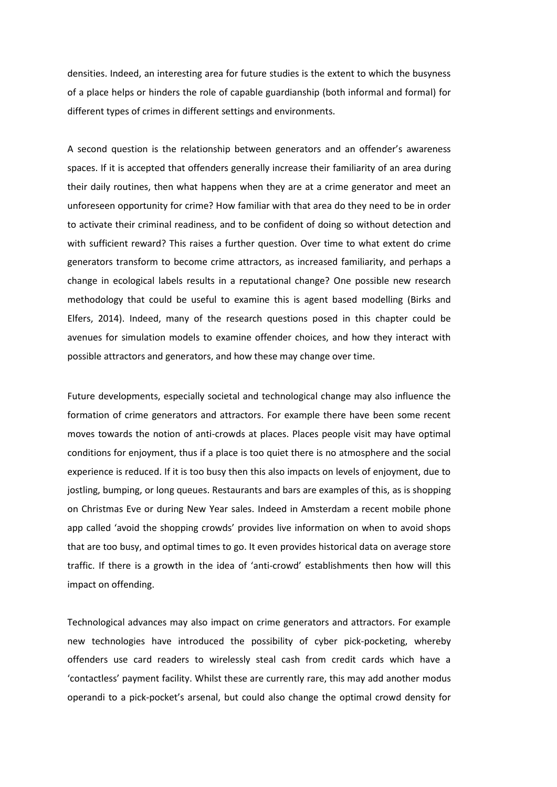densities. Indeed, an interesting area for future studies is the extent to which the busyness of a place helps or hinders the role of capable guardianship (both informal and formal) for different types of crimes in different settings and environments.

A second question is the relationship between generators and an offender's awareness spaces. If it is accepted that offenders generally increase their familiarity of an area during their daily routines, then what happens when they are at a crime generator and meet an unforeseen opportunity for crime? How familiar with that area do they need to be in order to activate their criminal readiness, and to be confident of doing so without detection and with sufficient reward? This raises a further question. Over time to what extent do crime generators transform to become crime attractors, as increased familiarity, and perhaps a change in ecological labels results in a reputational change? One possible new research methodology that could be useful to examine this is agent based modelling (Birks and Elfers, 2014). Indeed, many of the research questions posed in this chapter could be avenues for simulation models to examine offender choices, and how they interact with possible attractors and generators, and how these may change over time.

Future developments, especially societal and technological change may also influence the formation of crime generators and attractors. For example there have been some recent moves towards the notion of anti-crowds at places. Places people visit may have optimal conditions for enjoyment, thus if a place is too quiet there is no atmosphere and the social experience is reduced. If it is too busy then this also impacts on levels of enjoyment, due to jostling, bumping, or long queues. Restaurants and bars are examples of this, as is shopping on Christmas Eve or during New Year sales. Indeed in Amsterdam a recent mobile phone app called 'avoid the shopping crowds' provides live information on when to avoid shops that are too busy, and optimal times to go. It even provides historical data on average store traffic. If there is a growth in the idea of 'anti-crowd' establishments then how will this impact on offending.

Technological advances may also impact on crime generators and attractors. For example new technologies have introduced the possibility of cyber pick-pocketing, whereby offenders use card readers to wirelessly steal cash from credit cards which have a 'contactless' payment facility. Whilst these are currently rare, this may add another modus operandi to a pick-pocket's arsenal, but could also change the optimal crowd density for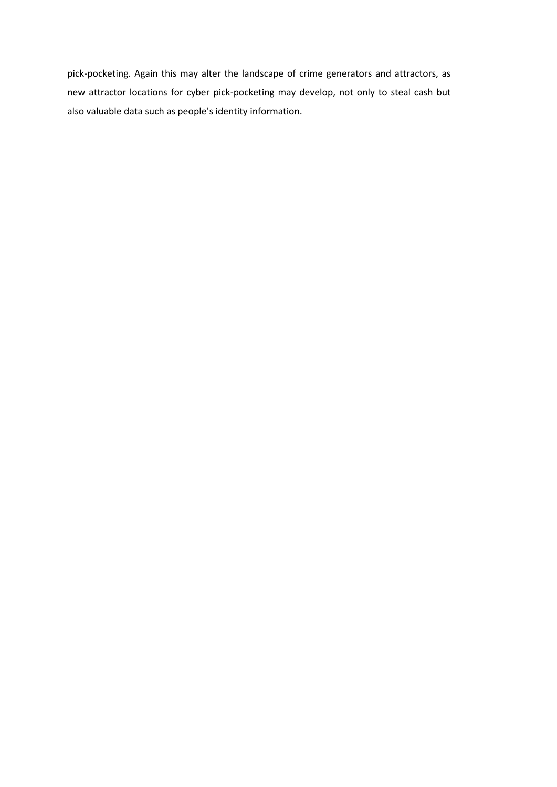pick-pocketing. Again this may alter the landscape of crime generators and attractors, as new attractor locations for cyber pick-pocketing may develop, not only to steal cash but also valuable data such as people's identity information.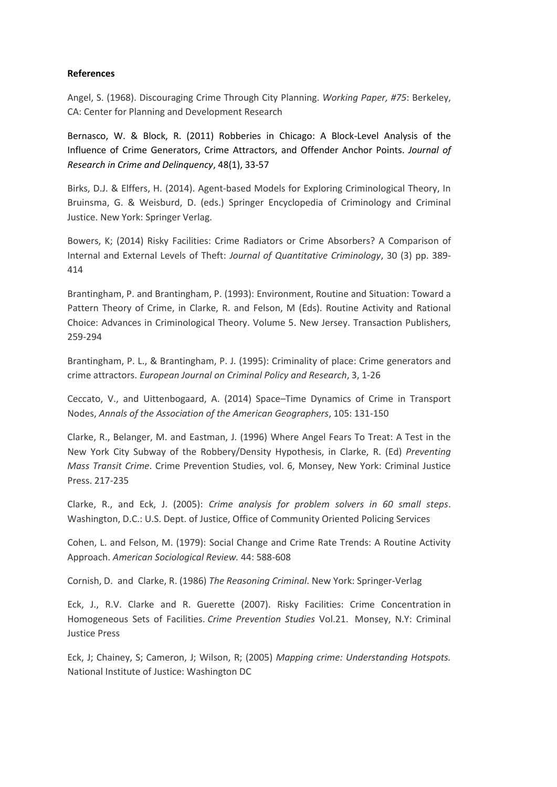# **References**

Angel, S. (1968). Discouraging Crime Through City Planning. *Working Paper, #75*: Berkeley, CA: Center for Planning and Development Research

Bernasco, W. & Block, R. (2011) Robberies in Chicago: A Block-Level Analysis of the Influence of Crime Generators, Crime Attractors, and Offender Anchor Points. *Journal of Research in Crime and Delinquency*, 48(1), 33-57

Birks, D.J. & Elffers, H. (2014). Agent-based Models for Exploring Criminological Theory, In Bruinsma, G. & Weisburd, D. (eds.) Springer Encyclopedia of Criminology and Criminal Justice. New York: Springer Verlag.

Bowers, K; (2014) Risky Facilities: Crime Radiators or Crime Absorbers? A Comparison of Internal and External Levels of Theft: *Journal of Quantitative Criminology*, 30 (3) pp. 389- 414

Brantingham, P. and Brantingham, P. (1993): Environment, Routine and Situation: Toward a Pattern Theory of Crime, in Clarke, R. and Felson, M (Eds). Routine Activity and Rational Choice: Advances in Criminological Theory. Volume 5. New Jersey. Transaction Publishers, 259-294

Brantingham, P. L., & Brantingham, P. J. (1995): Criminality of place: Crime generators and crime attractors. *European Journal on Criminal Policy and Research*, 3, 1-26

Ceccato, V., and Uittenbogaard, A. (2014) Space–Time Dynamics of Crime in Transport Nodes, *Annals of the Association of the American Geographers*, 105: 131-150

Clarke, R., Belanger, M. and Eastman, J. (1996) Where Angel Fears To Treat: A Test in the New York City Subway of the Robbery/Density Hypothesis, in Clarke, R. (Ed) *Preventing Mass Transit Crime*. Crime Prevention Studies, vol. 6, Monsey, New York: Criminal Justice Press. 217-235

Clarke, R., and Eck, J. (2005): *Crime analysis for problem solvers in 60 small steps*. Washington, D.C.: U.S. Dept. of Justice, Office of Community Oriented Policing Services

Cohen, L. and Felson, M. (1979): Social Change and Crime Rate Trends: A Routine Activity Approach. *American Sociological Review.* 44: 588-608

Cornish, D. and Clarke, R. (1986) *The Reasoning Criminal*. New York: Springer-Verlag

Eck, J., R.V. Clarke and R. Guerette (2007). Risky Facilities: Crime Concentration in Homogeneous Sets of Facilities. *Crime Prevention Studies* Vol.21. Monsey, N.Y: Criminal Justice Press

Eck, J; Chainey, S; Cameron, J; Wilson, R; (2005) *Mapping crime: Understanding Hotspots.* National Institute of Justice: Washington DC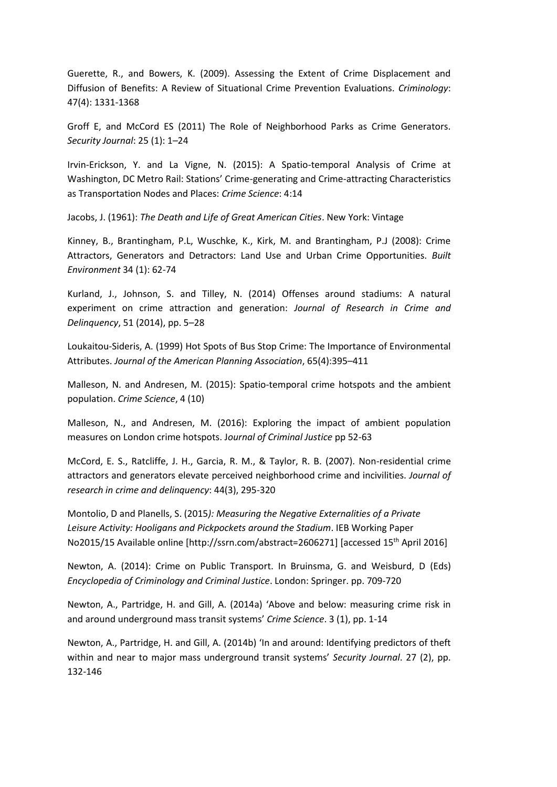Guerette, R., and Bowers, K. (2009). Assessing the Extent of Crime Displacement and Diffusion of Benefits: A Review of Situational Crime Prevention Evaluations. *Criminology*: 47(4): 1331-1368

Groff E, and McCord ES (2011) The Role of Neighborhood Parks as Crime Generators. *Security Journal*: 25 (1): 1–24

Irvin-Erickson, Y. and La Vigne, N. (2015): A Spatio-temporal Analysis of Crime at Washington, DC Metro Rail: Stations' Crime-generating and Crime-attracting Characteristics as Transportation Nodes and Places: *Crime Science*: 4:14

Jacobs, J. (1961): *The Death and Life of Great American Cities*. New York: Vintage

Kinney, B., Brantingham, P.L, Wuschke, K., Kirk, M. and Brantingham, P.J (2008): Crime Attractors, Generators and Detractors: Land Use and Urban Crime Opportunities. *Built Environment* 34 (1): 62-74

Kurland, J., Johnson, S. and Tilley, N. (2014) Offenses around stadiums: A natural experiment on crime attraction and generation: *Journal of Research in Crime and Delinquency*, 51 (2014), pp. 5–28

Loukaitou-Sideris, A. (1999) Hot Spots of Bus Stop Crime: The Importance of Environmental Attributes. *Journal of the American Planning Association*, 65(4):395–411

Malleson, N. and Andresen, M. (2015): Spatio-temporal crime hotspots and the ambient population. *Crime Science*, 4 (10)

Malleson, N., and Andresen, M. (2016): Exploring the impact of ambient population measures on London crime hotspots. J*ournal of Criminal Justice* pp 52-63

McCord, E. S., Ratcliffe, J. H., Garcia, R. M., & Taylor, R. B. (2007). Non-residential crime attractors and generators elevate perceived neighborhood crime and incivilities. *Journal of research in crime and delinquency*: 44(3), 295-320

Montolio, D and Planells, S. (2015*): Measuring the Negative Externalities of a Private Leisure Activity: Hooligans and Pickpockets around the Stadium*. IEB Working Paper No2015/15 Available online [http://ssrn.com/abstract=2606271] [accessed 15th April 2016]

Newton, A. (2014): Crime on Public Transport. In Bruinsma, G. and Weisburd, D (Eds) *Encyclopedia of Criminology and Criminal Justice*. London: Springer. pp. 709-720

Newton, A., Partridge, H. and Gill, A. (2014a) 'Above and below: measuring crime risk in and around underground mass transit systems' *Crime Science*. 3 (1), pp. 1-14

Newton, A., Partridge, H. and Gill, A. (2014b) 'In and around: Identifying predictors of theft within and near to major mass underground transit systems' *Security Journal*. 27 (2), pp. 132-146